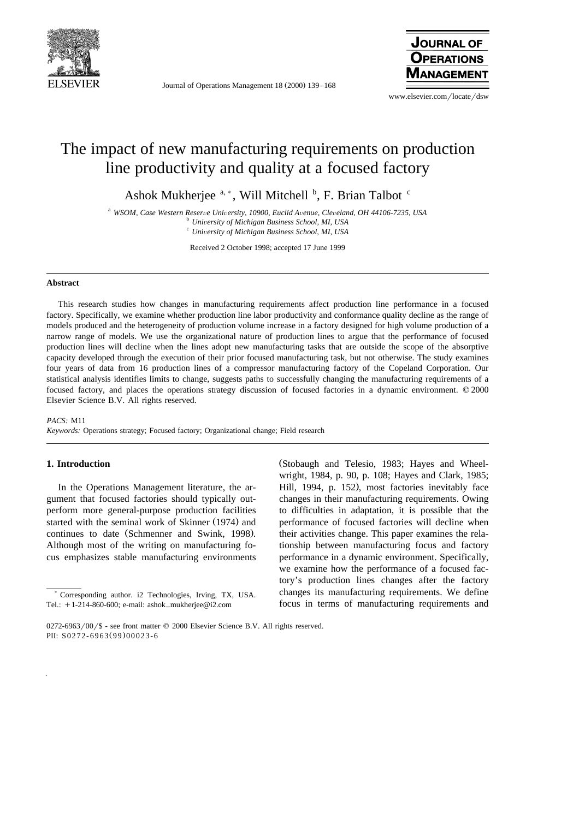

Journal of Operations Management  $18 (2000) 139-168$ 



www.elsevier.com/locate/dsw

## The impact of new manufacturing requirements on production line productivity and quality at a focused factory

Ashok Mukherjee a,\*, Will Mitchell <sup>b</sup>, F. Brian Talbot <sup>c</sup>

<sup>a</sup> WSOM, Case Western Reserve University, 10900, Euclid Avenue, Cleveland, OH 44106-7235, USA<br><sup>b</sup> University of Michigan Business School, MI, USA<br><sup>c</sup> University of Michigan Business School, MI, USA

Received 2 October 1998; accepted 17 June 1999

### **Abstract**

This research studies how changes in manufacturing requirements affect production line performance in a focused factory. Specifically, we examine whether production line labor productivity and conformance quality decline as the range of models produced and the heterogeneity of production volume increase in a factory designed for high volume production of a narrow range of models. We use the organizational nature of production lines to argue that the performance of focused production lines will decline when the lines adopt new manufacturing tasks that are outside the scope of the absorptive capacity developed through the execution of their prior focused manufacturing task, but not otherwise. The study examines four years of data from 16 production lines of a compressor manufacturing factory of the Copeland Corporation. Our statistical analysis identifies limits to change, suggests paths to successfully changing the manufacturing requirements of a focused factory, and places the operations strategy discussion of focused factories in a dynamic environment.  $\textcircled{2000}$ Elsevier Science B.V. All rights reserved.

### *PACS:* M11

*Keywords:* Operations strategy; Focused factory; Organizational change; Field research

## **1. Introduction**

In the Operations Management literature, the argument that focused factories should typically outperform more general-purpose production facilities started with the seminal work of Skinner (1974) and continues to date (Schmenner and Swink, 1998). Although most of the writing on manufacturing focus emphasizes stable manufacturing environments

(Stobaugh and Telesio, 1983; Hayes and Wheelwright, 1984, p. 90, p. 108; Hayes and Clark, 1985; Hill, 1994, p. 152), most factories inevitably face changes in their manufacturing requirements. Owing to difficulties in adaptation, it is possible that the performance of focused factories will decline when their activities change. This paper examines the relationship between manufacturing focus and factory performance in a dynamic environment. Specifically, we examine how the performance of a focused factory's production lines changes after the factory changes its manufacturing requirements. We define focus in terms of manufacturing requirements and

<sup>)</sup> Corresponding author. i2 Technologies, Irving, TX, USA. Tel.:  $+1-214-860-600$ ; e-mail: ashok mukherjee@i2.com

 $0272-6963/00$  /\$ - see front matter  $© 2000$  Elsevier Science B.V. All rights reserved. PII: S0272-6963(99)00023-6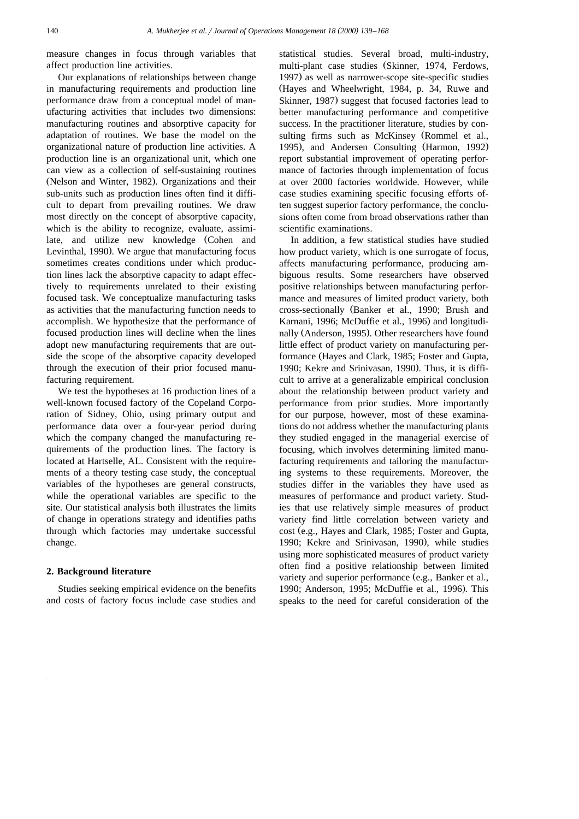measure changes in focus through variables that affect production line activities.

Our explanations of relationships between change in manufacturing requirements and production line performance draw from a conceptual model of manufacturing activities that includes two dimensions: manufacturing routines and absorptive capacity for adaptation of routines. We base the model on the organizational nature of production line activities. A production line is an organizational unit, which one can view as a collection of self-sustaining routines (Nelson and Winter, 1982). Organizations and their sub-units such as production lines often find it difficult to depart from prevailing routines. We draw most directly on the concept of absorptive capacity, which is the ability to recognize, evaluate, assimilate, and utilize new knowledge (Cohen and Levinthal, 1990). We argue that manufacturing focus sometimes creates conditions under which production lines lack the absorptive capacity to adapt effectively to requirements unrelated to their existing focused task. We conceptualize manufacturing tasks as activities that the manufacturing function needs to accomplish. We hypothesize that the performance of focused production lines will decline when the lines adopt new manufacturing requirements that are outside the scope of the absorptive capacity developed through the execution of their prior focused manufacturing requirement.

We test the hypotheses at 16 production lines of a well-known focused factory of the Copeland Corporation of Sidney, Ohio, using primary output and performance data over a four-year period during which the company changed the manufacturing requirements of the production lines. The factory is located at Hartselle, AL. Consistent with the requirements of a theory testing case study, the conceptual variables of the hypotheses are general constructs, while the operational variables are specific to the site. Our statistical analysis both illustrates the limits of change in operations strategy and identifies paths through which factories may undertake successful change.

## **2. Background literature**

Studies seeking empirical evidence on the benefits and costs of factory focus include case studies and statistical studies. Several broad, multi-industry, multi-plant case studies (Skinner, 1974, Ferdows, 1997) as well as narrower-scope site-specific studies (Hayes and Wheelwright, 1984, p. 34, Ruwe and Skinner, 1987) suggest that focused factories lead to better manufacturing performance and competitive success. In the practitioner literature, studies by consulting firms such as McKinsey (Rommel et al., 1995), and Andersen Consulting (Harmon, 1992). report substantial improvement of operating performance of factories through implementation of focus at over 2000 factories worldwide. However, while case studies examining specific focusing efforts often suggest superior factory performance, the conclusions often come from broad observations rather than scientific examinations.

In addition, a few statistical studies have studied how product variety, which is one surrogate of focus, affects manufacturing performance, producing ambiguous results. Some researchers have observed positive relationships between manufacturing performance and measures of limited product variety, both cross-sectionally (Banker et al., 1990; Brush and Karnani, 1996; McDuffie et al., 1996) and longitudinally (Anderson, 1995). Other researchers have found little effect of product variety on manufacturing performance (Hayes and Clark, 1985; Foster and Gupta, 1990; Kekre and Srinivasan, 1990). Thus, it is difficult to arrive at a generalizable empirical conclusion about the relationship between product variety and performance from prior studies. More importantly for our purpose, however, most of these examinations do not address whether the manufacturing plants they studied engaged in the managerial exercise of focusing, which involves determining limited manufacturing requirements and tailoring the manufacturing systems to these requirements. Moreover, the studies differ in the variables they have used as measures of performance and product variety. Studies that use relatively simple measures of product variety find little correlation between variety and cost (e.g., Hayes and Clark, 1985; Foster and Gupta, 1990; Kekre and Srinivasan, 1990), while studies using more sophisticated measures of product variety often find a positive relationship between limited variety and superior performance (e.g., Banker et al., 1990; Anderson, 1995; McDuffie et al., 1996). This speaks to the need for careful consideration of the